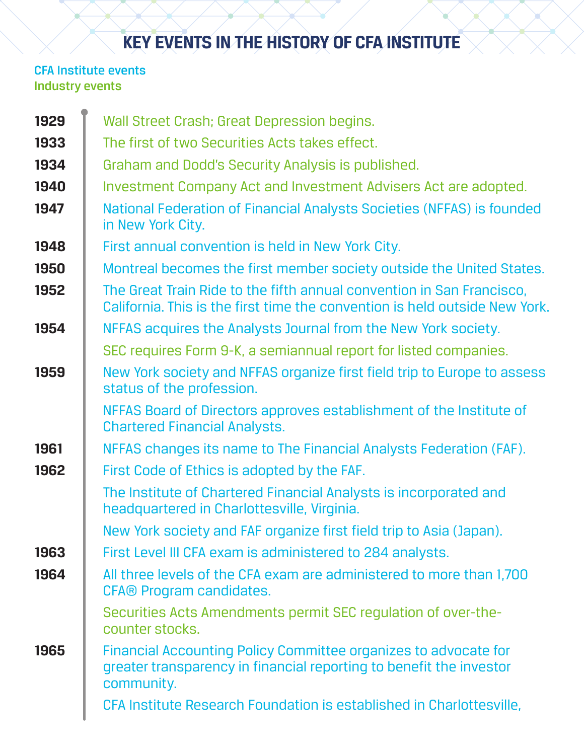## **KEY EVENTS IN THE HISTORY OF CFA INSTITUTE**

## CFA Institute events Industry events

| 1929 | Wall Street Crash; Great Depression begins.                                                                                                          |
|------|------------------------------------------------------------------------------------------------------------------------------------------------------|
| 1933 | The first of two Securities Acts takes effect.                                                                                                       |
| 1934 | Graham and Dodd's Security Analysis is published.                                                                                                    |
| 1940 | Investment Company Act and Investment Advisers Act are adopted.                                                                                      |
| 1947 | National Federation of Financial Analysts Societies (NFFAS) is founded<br>in New York City.                                                          |
| 1948 | First annual convention is held in New York City.                                                                                                    |
| 1950 | Montreal becomes the first member society outside the United States.                                                                                 |
| 1952 | The Great Train Ride to the fifth annual convention in San Francisco.<br>California. This is the first time the convention is held outside New York. |
| 1954 | NFFAS acquires the Analysts Journal from the New York society.                                                                                       |
|      | SEC requires Form 9-K, a semiannual report for listed companies.                                                                                     |
| 1959 | New York society and NFFAS organize first field trip to Europe to assess<br>status of the profession.                                                |
|      | NFFAS Board of Directors approves establishment of the Institute of<br><b>Chartered Financial Analysts.</b>                                          |
| 1961 | NFFAS changes its name to The Financial Analysts Federation (FAF).                                                                                   |
| 1962 | First Code of Ethics is adopted by the FAF.                                                                                                          |
|      | The Institute of Chartered Financial Analysts is incorporated and<br>headquartered in Charlottesville, Virginia.                                     |
|      | New York society and FAF organize first field trip to Asia (Japan).                                                                                  |
| 1963 | First Level III CFA exam is administered to 284 analysts.                                                                                            |
| 1964 | All three levels of the CFA exam are administered to more than 1,700<br><b>CFA® Program candidates.</b>                                              |
|      | Securities Acts Amendments permit SEC regulation of over-the-<br>counter stocks.                                                                     |
| 1965 | Financial Accounting Policy Committee organizes to advocate for<br>greater transparency in financial reporting to benefit the investor<br>community. |
|      | CFA Institute Research Foundation is established in Charlottesville,                                                                                 |
|      |                                                                                                                                                      |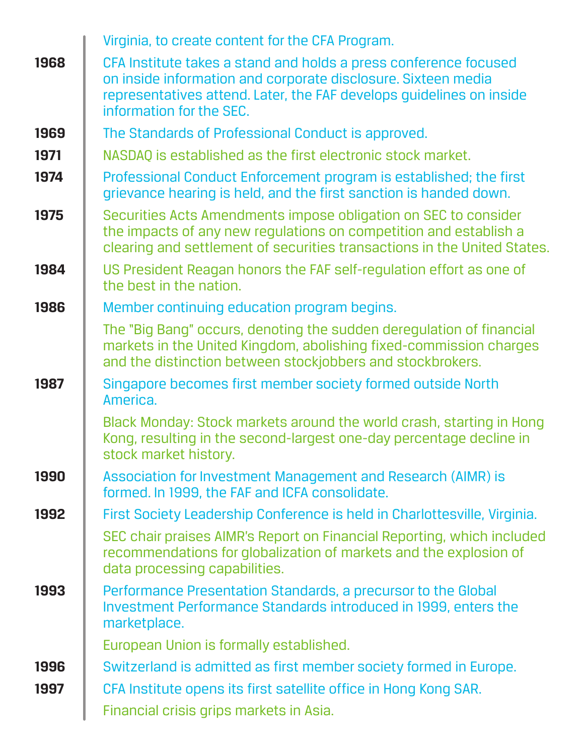|      | Virginia, to create content for the CFA Program.                                                                                                                                                                                      |
|------|---------------------------------------------------------------------------------------------------------------------------------------------------------------------------------------------------------------------------------------|
| 1968 | CFA Institute takes a stand and holds a press conference focused<br>on inside information and corporate disclosure. Sixteen media<br>representatives attend. Later, the FAF develops guidelines on inside<br>information for the SEC. |
| 1969 | The Standards of Professional Conduct is approved.                                                                                                                                                                                    |
| 1971 | NASDAQ is established as the first electronic stock market.                                                                                                                                                                           |
| 1974 | Professional Conduct Enforcement program is established; the first<br>grievance hearing is held, and the first sanction is handed down.                                                                                               |
| 1975 | Securities Acts Amendments impose obligation on SEC to consider<br>the impacts of any new regulations on competition and establish a<br>clearing and settlement of securities transactions in the United States.                      |
| 1984 | US President Reagan honors the FAF self-regulation effort as one of<br>the best in the nation.                                                                                                                                        |
| 1986 | Member continuing education program begins.                                                                                                                                                                                           |
|      | The "Big Bang" occurs, denoting the sudden deregulation of financial<br>markets in the United Kingdom, abolishing fixed-commission charges<br>and the distinction between stockjobbers and stockbrokers.                              |
| 1987 | Singapore becomes first member society formed outside North<br>America.                                                                                                                                                               |
|      | Black Monday: Stock markets around the world crash, starting in Hong<br>Kong, resulting in the second-largest one-day percentage decline in<br>stock market history.                                                                  |
| 1990 | Association for Investment Management and Research (AIMR) is<br>formed. In 1999, the FAF and ICFA consolidate.                                                                                                                        |
| 1992 | First Society Leadership Conference is held in Charlottesville, Virginia.                                                                                                                                                             |
|      | SEC chair praises AIMR's Report on Financial Reporting, which included<br>recommendations for globalization of markets and the explosion of<br>data processing capabilities.                                                          |
| 1993 | Performance Presentation Standards, a precursor to the Global<br>Investment Performance Standards introduced in 1999, enters the<br>marketplace.                                                                                      |
|      | European Union is formally established.                                                                                                                                                                                               |
| 1996 | Switzerland is admitted as first member society formed in Europe.                                                                                                                                                                     |
| 1997 | CFA Institute opens its first satellite office in Hong Kong SAR.                                                                                                                                                                      |
|      | Financial crisis grips markets in Asia.                                                                                                                                                                                               |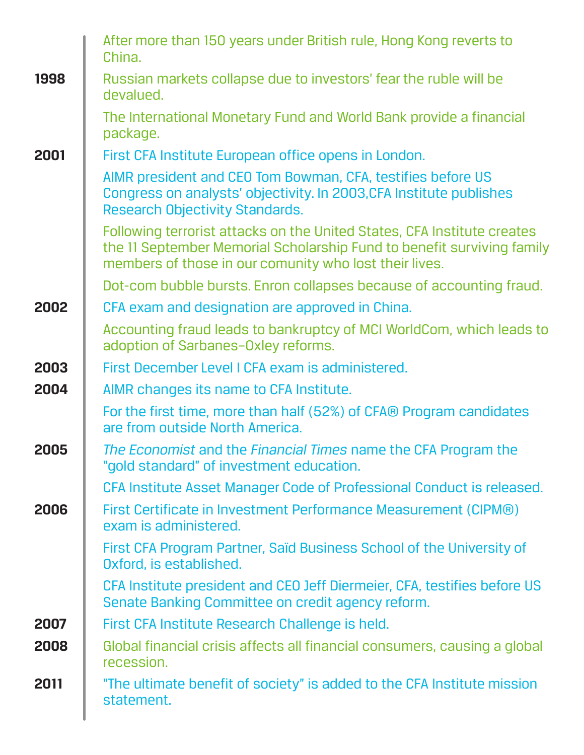|      | After more than 150 years under British rule, Hong Kong reverts to<br>China.                                                                                                                                |
|------|-------------------------------------------------------------------------------------------------------------------------------------------------------------------------------------------------------------|
| 1998 | Russian markets collapse due to investors' fear the ruble will be<br>devalued.                                                                                                                              |
|      | The International Monetary Fund and World Bank provide a financial<br>package.                                                                                                                              |
| 2001 | First CFA Institute European office opens in London.                                                                                                                                                        |
|      | AIMR president and CEO Tom Bowman, CFA, testifies before US<br>Congress on analysts' objectivity. In 2003, CFA Institute publishes<br><b>Research Objectivity Standards.</b>                                |
|      | Following terrorist attacks on the United States, CFA Institute creates<br>the 11 September Memorial Scholarship Fund to benefit surviving family<br>members of those in our comunity who lost their lives. |
|      | Dot-com bubble bursts. Enron collapses because of accounting fraud.                                                                                                                                         |
| 2002 | CFA exam and designation are approved in China.                                                                                                                                                             |
|      | Accounting fraud leads to bankruptcy of MCI WorldCom, which leads to<br>adoption of Sarbanes-Oxley reforms.                                                                                                 |
| 2003 | First December Level I CFA exam is administered.                                                                                                                                                            |
| 2004 | AIMR changes its name to CFA Institute.                                                                                                                                                                     |
|      | For the first time, more than half (52%) of CFA® Program candidates<br>are from outside North America.                                                                                                      |
| 2005 | The Economist and the Financial Times name the CFA Program the<br>"gold standard" of investment education.                                                                                                  |
|      | CFA Institute Asset Manager Code of Professional Conduct is released.                                                                                                                                       |
| 2006 | First Certificate in Investment Performance Measurement (CIPM®)<br>exam is administered.                                                                                                                    |
|      | First CFA Program Partner, Saïd Business School of the University of<br>Oxford, is established.                                                                                                             |
|      | CFA Institute president and CEO Jeff Diermeier, CFA, testifies before US<br>Senate Banking Committee on credit agency reform.                                                                               |
| 2007 | First CFA Institute Research Challenge is held.                                                                                                                                                             |
| 2008 | Global financial crisis affects all financial consumers, causing a global<br>recession.                                                                                                                     |
| 2011 | "The ultimate benefit of society" is added to the CFA Institute mission<br>statement.                                                                                                                       |
|      |                                                                                                                                                                                                             |